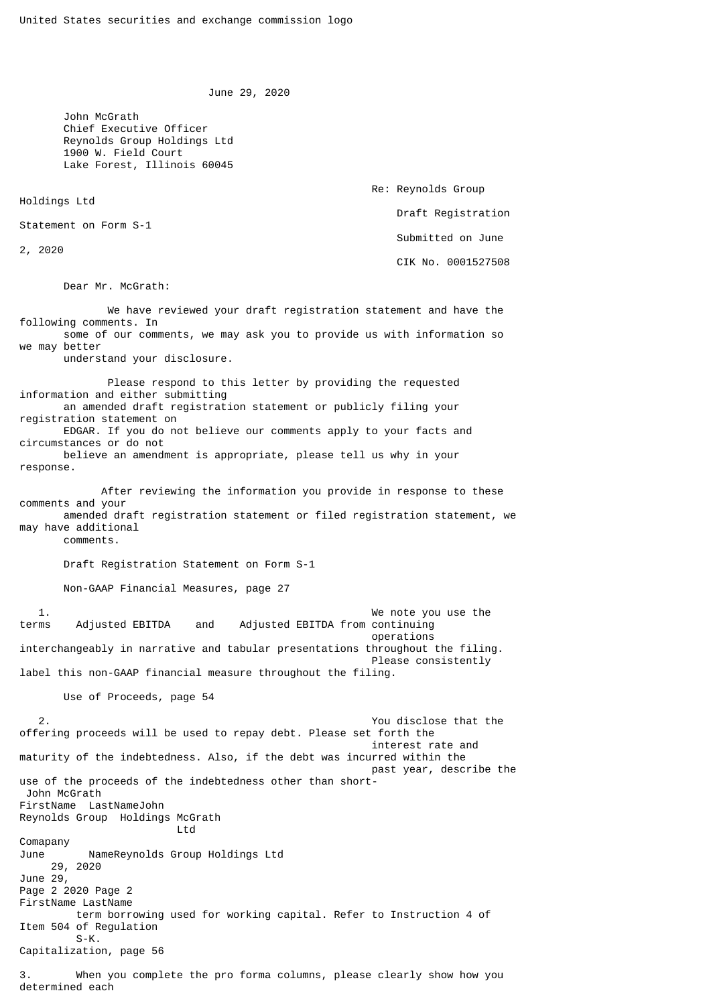June 29, 2020

 John McGrath Chief Executive Officer Reynolds Group Holdings Ltd 1900 W. Field Court Lake Forest, Illinois 60045

Holdings Ltd

Statement on Form S-1

2, 2020

 Re: Reynolds Group Draft Registration Submitted on June CIK No. 0001527508

Dear Mr. McGrath:

 We have reviewed your draft registration statement and have the following comments. In some of our comments, we may ask you to provide us with information so we may better understand your disclosure. Please respond to this letter by providing the requested information and either submitting an amended draft registration statement or publicly filing your registration statement on EDGAR. If you do not believe our comments apply to your facts and circumstances or do not believe an amendment is appropriate, please tell us why in your response. After reviewing the information you provide in response to these comments and your amended draft registration statement or filed registration statement, we may have additional comments. Draft Registration Statement on Form S-1 Non-GAAP Financial Measures, page 27 1. We note you use the terms Adjusted EBITDA and Adjusted EBITDA from continuing operations interchangeably in narrative and tabular presentations throughout the filing. Please consistently label this non-GAAP financial measure throughout the filing. Use of Proceeds, page 54 2. You disclose that the offering proceeds will be used to repay debt. Please set forth the interest rate and maturity of the indebtedness. Also, if the debt was incurred within the past year, describe the use of the proceeds of the indebtedness other than short- John McGrath FirstName LastNameJohn Reynolds Group Holdings McGrath **Ltd** Comapany June NameReynolds Group Holdings Ltd 29, 2020 June 29, Page 2 2020 Page 2 FirstName LastName term borrowing used for working capital. Refer to Instruction 4 of Item 504 of Regulation  $S-K$ . Capitalization, page 56 3. When you complete the pro forma columns, please clearly show how you

determined each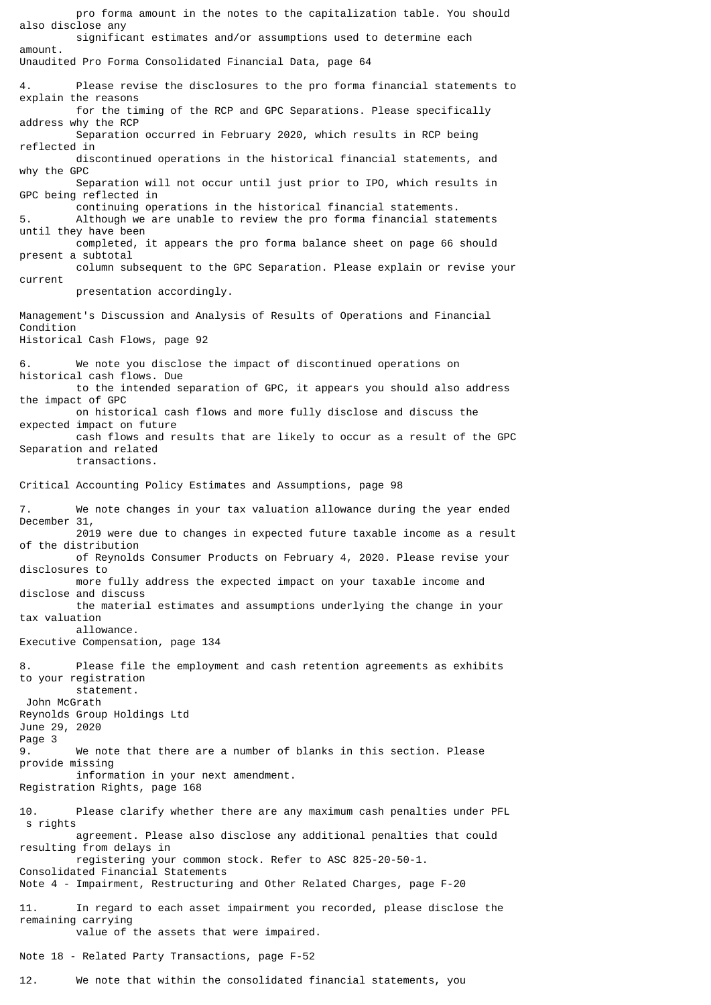pro forma amount in the notes to the capitalization table. You should also disclose any significant estimates and/or assumptions used to determine each amount. Unaudited Pro Forma Consolidated Financial Data, page 64 4. Please revise the disclosures to the pro forma financial statements to explain the reasons for the timing of the RCP and GPC Separations. Please specifically address why the RCP Separation occurred in February 2020, which results in RCP being reflected in discontinued operations in the historical financial statements, and why the GPC Separation will not occur until just prior to IPO, which results in GPC being reflected in continuing operations in the historical financial statements. 5. Although we are unable to review the pro forma financial statements until they have been completed, it appears the pro forma balance sheet on page 66 should present a subtotal column subsequent to the GPC Separation. Please explain or revise your current presentation accordingly. Management's Discussion and Analysis of Results of Operations and Financial Condition Historical Cash Flows, page 92 We note you disclose the impact of discontinued operations on historical cash flows. Due to the intended separation of GPC, it appears you should also address the impact of GPC on historical cash flows and more fully disclose and discuss the expected impact on future cash flows and results that are likely to occur as a result of the GPC Separation and related transactions. Critical Accounting Policy Estimates and Assumptions, page 98 7. We note changes in your tax valuation allowance during the year ended December 31, 2019 were due to changes in expected future taxable income as a result of the distribution of Reynolds Consumer Products on February 4, 2020. Please revise your disclosures to more fully address the expected impact on your taxable income and disclose and discuss the material estimates and assumptions underlying the change in your tax valuation allowance. Executive Compensation, page 134 8. Please file the employment and cash retention agreements as exhibits to your registration statement. John McGrath Reynolds Group Holdings Ltd June 29, 2020 Page 3 9. We note that there are a number of blanks in this section. Please provide missing information in your next amendment. Registration Rights, page 168 10. Please clarify whether there are any maximum cash penalties under PFL s rights agreement. Please also disclose any additional penalties that could resulting from delays in registering your common stock. Refer to ASC 825-20-50-1. Consolidated Financial Statements Note 4 - Impairment, Restructuring and Other Related Charges, page F-20 11. In regard to each asset impairment you recorded, please disclose the remaining carrying value of the assets that were impaired. Note 18 - Related Party Transactions, page F-52

12. We note that within the consolidated financial statements, you